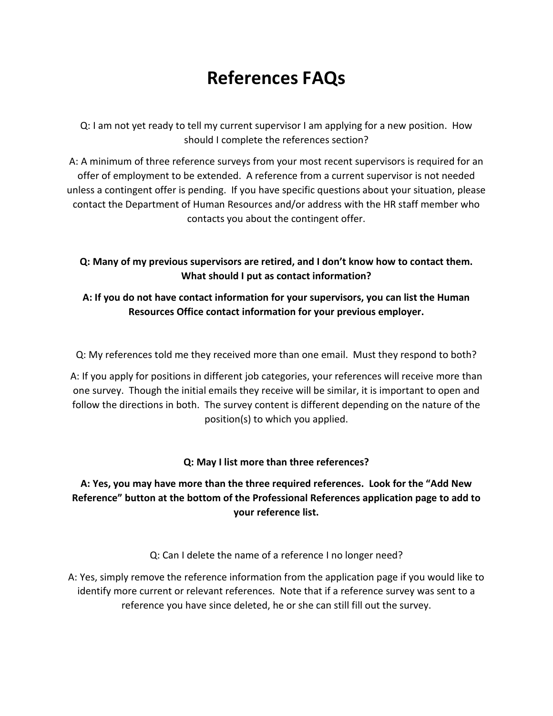# **References FAQs**

Q: I am not yet ready to tell my current supervisor I am applying for a new position. How should I complete the references section?

A: A minimum of three reference surveys from your most recent supervisors is required for an offer of employment to be extended. A reference from a current supervisor is not needed unless a contingent offer is pending. If you have specific questions about your situation, please contact the Department of Human Resources and/or address with the HR staff member who contacts you about the contingent offer.

### **Q: Many of my previous supervisors are retired, and I don't know how to contact them. What should I put as contact information?**

# **A: If you do not have contact information for your supervisors, you can list the Human Resources Office contact information for your previous employer.**

Q: My references told me they received more than one email. Must they respond to both?

A: If you apply for positions in different job categories, your references will receive more than one survey. Though the initial emails they receive will be similar, it is important to open and follow the directions in both. The survey content is different depending on the nature of the position(s) to which you applied.

### **Q: May I list more than three references?**

# **A: Yes, you may have more than the three required references. Look for the "Add New Reference" button at the bottom of the Professional References application page to add to your reference list.**

Q: Can I delete the name of a reference I no longer need?

A: Yes, simply remove the reference information from the application page if you would like to identify more current or relevant references. Note that if a reference survey was sent to a reference you have since deleted, he or she can still fill out the survey.